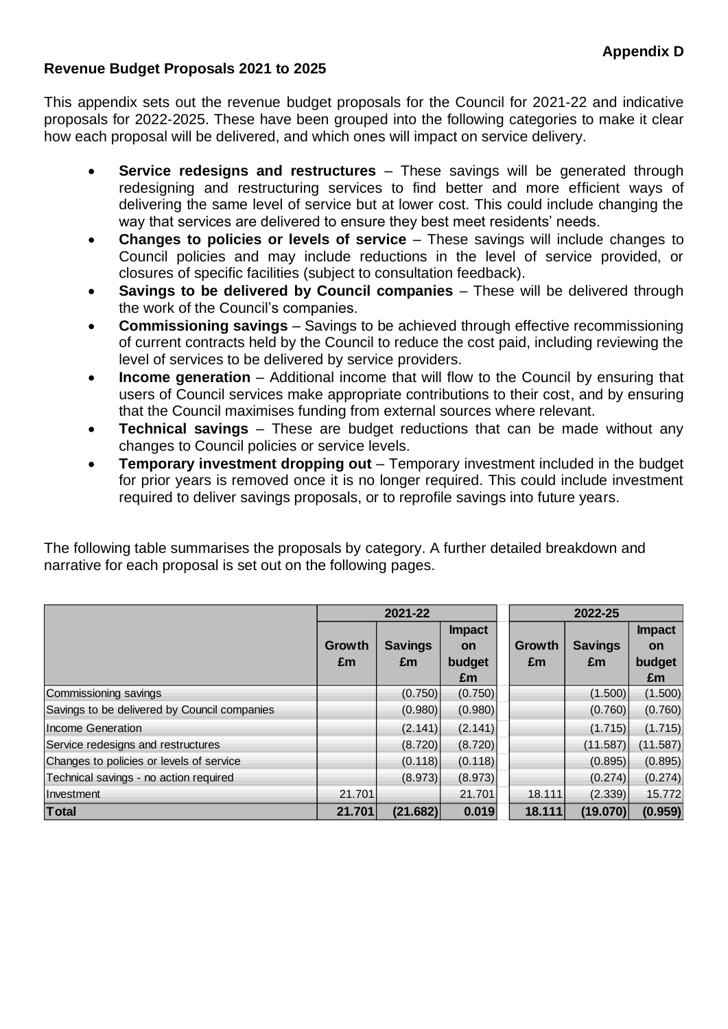## **Revenue Budget Proposals 2021 to 2025**

This appendix sets out the revenue budget proposals for the Council for 2021-22 and indicative proposals for 2022-2025. These have been grouped into the following categories to make it clear how each proposal will be delivered, and which ones will impact on service delivery.

- **Service redesigns and restructures** These savings will be generated through redesigning and restructuring services to find better and more efficient ways of delivering the same level of service but at lower cost. This could include changing the way that services are delivered to ensure they best meet residents' needs.
- **Changes to policies or levels of service** These savings will include changes to Council policies and may include reductions in the level of service provided, or closures of specific facilities (subject to consultation feedback).
- **Savings to be delivered by Council companies** These will be delivered through the work of the Council's companies.
- **Commissioning savings** Savings to be achieved through effective recommissioning of current contracts held by the Council to reduce the cost paid, including reviewing the level of services to be delivered by service providers.
- **Income generation** Additional income that will flow to the Council by ensuring that users of Council services make appropriate contributions to their cost, and by ensuring that the Council maximises funding from external sources where relevant.
- **Technical savings** These are budget reductions that can be made without any changes to Council policies or service levels.
- **Temporary investment dropping out** Temporary investment included in the budget for prior years is removed once it is no longer required. This could include investment required to deliver savings proposals, or to reprofile savings into future years.

The following table summarises the proposals by category. A further detailed breakdown and narrative for each proposal is set out on the following pages.

|                                              |        | 2021-22        |               | 2022-25       |                |               |
|----------------------------------------------|--------|----------------|---------------|---------------|----------------|---------------|
|                                              |        |                | <b>Impact</b> |               |                | <b>Impact</b> |
|                                              | Growth | <b>Savings</b> | on            | <b>Growth</b> | <b>Savings</b> | <b>on</b>     |
|                                              | £m     | £m             | budget        | £m            | £m             | budget        |
|                                              |        |                | £m            |               |                | £m            |
| Commissioning savings                        |        | (0.750)        | (0.750)       |               | (1.500)        | (1.500)       |
| Savings to be delivered by Council companies |        | (0.980)        | (0.980)       |               | (0.760)        | (0.760)       |
| Income Generation                            |        | (2.141)        | (2.141)       |               | (1.715)        | (1.715)       |
| Service redesigns and restructures           |        | (8.720)        | (8.720)       |               | (11.587)       | (11.587)      |
| Changes to policies or levels of service     |        | (0.118)        | (0.118)       |               | (0.895)        | (0.895)       |
| Technical savings - no action required       |        | (8.973)        | (8.973)       |               | (0.274)        | (0.274)       |
| Investment                                   | 21.701 |                | 21.701        | 18.111        | (2.339)        | 15.772        |
| <b>Total</b>                                 | 21.701 | (21.682)       | 0.019         | 18.111        | (19.070)       | (0.959)       |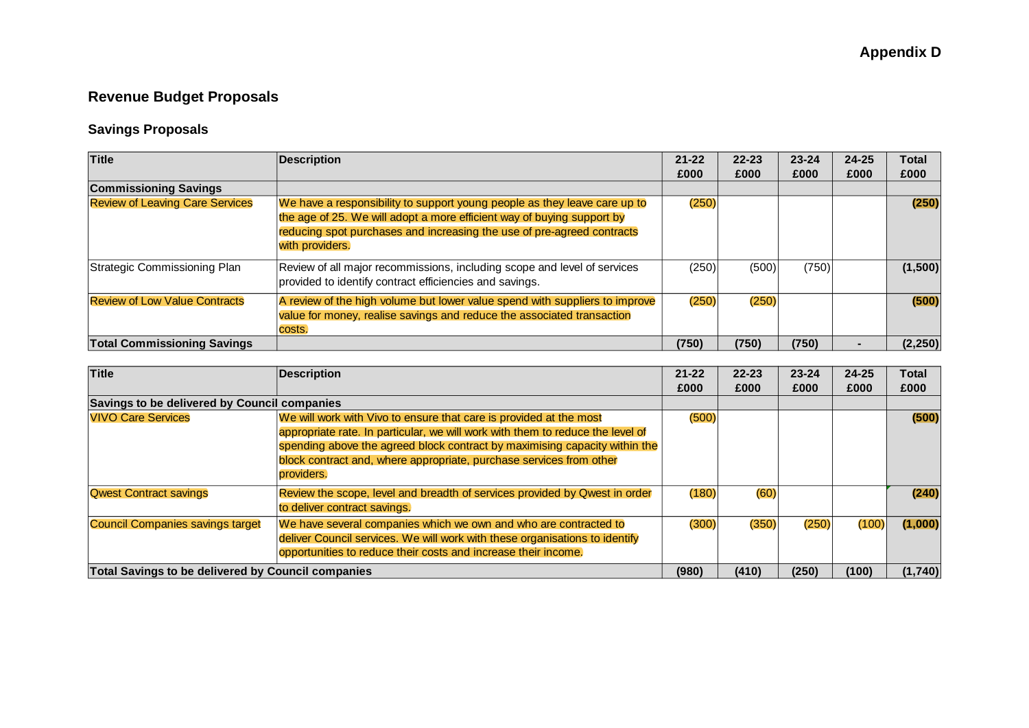## **Revenue Budget Proposals**

## **Savings Proposals**

| Title                                  | <b>Description</b>                                                                                                                                                                                                                               | $21 - 22$ | $22 - 23$ | $23 - 24$ | $24 - 25$      | Total    |
|----------------------------------------|--------------------------------------------------------------------------------------------------------------------------------------------------------------------------------------------------------------------------------------------------|-----------|-----------|-----------|----------------|----------|
|                                        |                                                                                                                                                                                                                                                  | £000      | £000      | £000      | £000           | £000     |
| <b>Commissioning Savings</b>           |                                                                                                                                                                                                                                                  |           |           |           |                |          |
| <b>Review of Leaving Care Services</b> | We have a responsibility to support young people as they leave care up to<br>the age of 25. We will adopt a more efficient way of buying support by<br>reducing spot purchases and increasing the use of pre-agreed contracts<br>with providers. | (250)     |           |           |                | (250)    |
| Strategic Commissioning Plan           | Review of all major recommissions, including scope and level of services<br>provided to identify contract efficiencies and savings.                                                                                                              | (250)     | (500)     | (750)     |                | (1,500)  |
| <b>Review of Low Value Contracts</b>   | A review of the high volume but lower value spend with suppliers to improve<br>value for money, realise savings and reduce the associated transaction<br>costs.                                                                                  | (250)     | (250)     |           |                | (500)    |
| <b>Total Commissioning Savings</b>     |                                                                                                                                                                                                                                                  | (750)     | (750)     | (750)     | $\blacksquare$ | (2, 250) |

| <b>Title</b>                                       | <b>Description</b>                                                             | $21 - 22$ | $22 - 23$ | $23 - 24$ | $24 - 25$ | <b>Total</b> |
|----------------------------------------------------|--------------------------------------------------------------------------------|-----------|-----------|-----------|-----------|--------------|
|                                                    |                                                                                | £000      | £000      | £000      | £000      | £000         |
| Savings to be delivered by Council companies       |                                                                                |           |           |           |           |              |
| <b>VIVO Care Services</b>                          | We will work with Vivo to ensure that care is provided at the most             | (500)     |           |           |           | (500)        |
|                                                    | appropriate rate. In particular, we will work with them to reduce the level of |           |           |           |           |              |
|                                                    | spending above the agreed block contract by maximising capacity within the     |           |           |           |           |              |
|                                                    | block contract and, where appropriate, purchase services from other            |           |           |           |           |              |
|                                                    | providers.                                                                     |           |           |           |           |              |
| <b>Qwest Contract savings</b>                      | Review the scope, level and breadth of services provided by Qwest in order     | (180)     | (60)      |           |           | (240)        |
|                                                    | to deliver contract savings.                                                   |           |           |           |           |              |
| <b>Council Companies savings target</b>            | We have several companies which we own and who are contracted to               | (300)     | (350)     | (250)     | (100)     | (1,000)      |
|                                                    | deliver Council services. We will work with these organisations to identify    |           |           |           |           |              |
|                                                    | opportunities to reduce their costs and increase their income.                 |           |           |           |           |              |
| Total Savings to be delivered by Council companies |                                                                                | (980)     | (410)     | (250)     | (100)     | (1,740)      |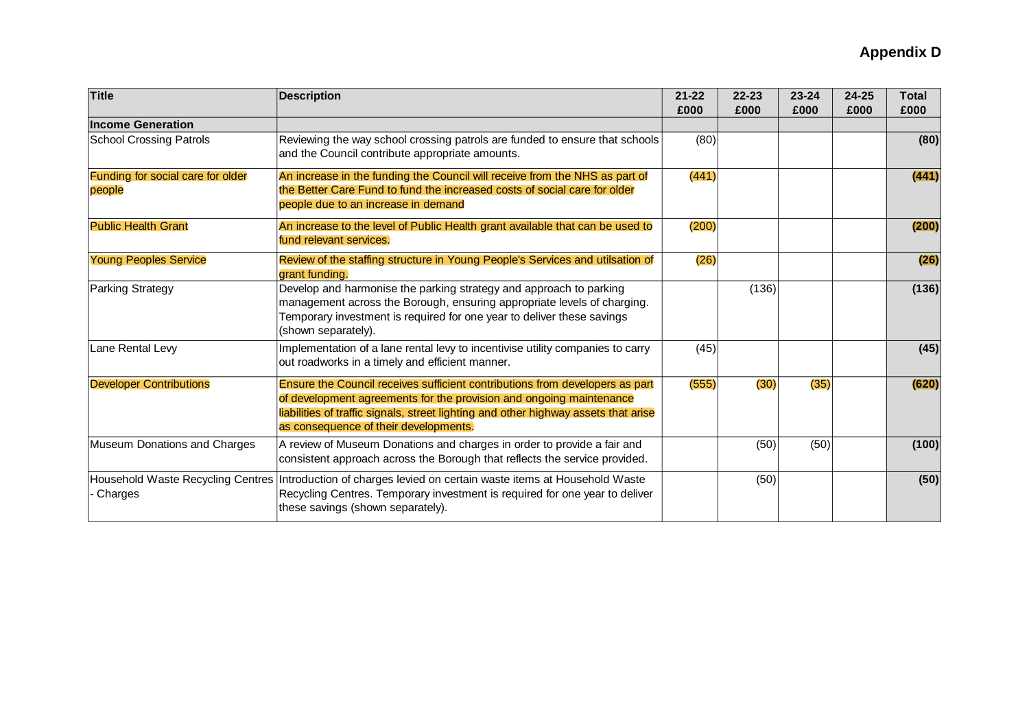| Title                                       | <b>Description</b>                                                                                                                                                                                                                                                                  | $21 - 22$<br>£000 | $22 - 23$<br>£000 | $23 - 24$<br>£000 | $24 - 25$<br>£000 | <b>Total</b><br>£000 |
|---------------------------------------------|-------------------------------------------------------------------------------------------------------------------------------------------------------------------------------------------------------------------------------------------------------------------------------------|-------------------|-------------------|-------------------|-------------------|----------------------|
| <b>Income Generation</b>                    |                                                                                                                                                                                                                                                                                     |                   |                   |                   |                   |                      |
| <b>School Crossing Patrols</b>              | Reviewing the way school crossing patrols are funded to ensure that schools<br>and the Council contribute appropriate amounts.                                                                                                                                                      | (80)              |                   |                   |                   | (80)                 |
| Funding for social care for older<br>people | An increase in the funding the Council will receive from the NHS as part of<br>the Better Care Fund to fund the increased costs of social care for older<br>people due to an increase in demand                                                                                     | (441)             |                   |                   |                   | (441)                |
| <b>Public Health Grant</b>                  | An increase to the level of Public Health grant available that can be used to<br>fund relevant services.                                                                                                                                                                            | (200)             |                   |                   |                   | (200)                |
| <b>Young Peoples Service</b>                | Review of the staffing structure in Young People's Services and utilsation of<br>grant funding.                                                                                                                                                                                     | (26)              |                   |                   |                   | (26)                 |
| <b>Parking Strategy</b>                     | Develop and harmonise the parking strategy and approach to parking<br>management across the Borough, ensuring appropriate levels of charging.<br>Temporary investment is required for one year to deliver these savings<br>(shown separately).                                      |                   | (136)             |                   |                   | (136)                |
| Lane Rental Levy                            | Implementation of a lane rental levy to incentivise utility companies to carry<br>out roadworks in a timely and efficient manner.                                                                                                                                                   | (45)              |                   |                   |                   | (45)                 |
| <b>Developer Contributions</b>              | Ensure the Council receives sufficient contributions from developers as part<br>of development agreements for the provision and ongoing maintenance<br>liabilities of traffic signals, street lighting and other highway assets that arise<br>as consequence of their developments. | (555)             | (30)              | (35)              |                   | (620)                |
| Museum Donations and Charges                | A review of Museum Donations and charges in order to provide a fair and<br>consistent approach across the Borough that reflects the service provided.                                                                                                                               |                   | (50)              | (50)              |                   | (100)                |
| Charges                                     | Household Waste Recycling Centres   Introduction of charges levied on certain waste items at Household Waste<br>Recycling Centres. Temporary investment is required for one year to deliver<br>these savings (shown separately).                                                    |                   | (50)              |                   |                   | (50)                 |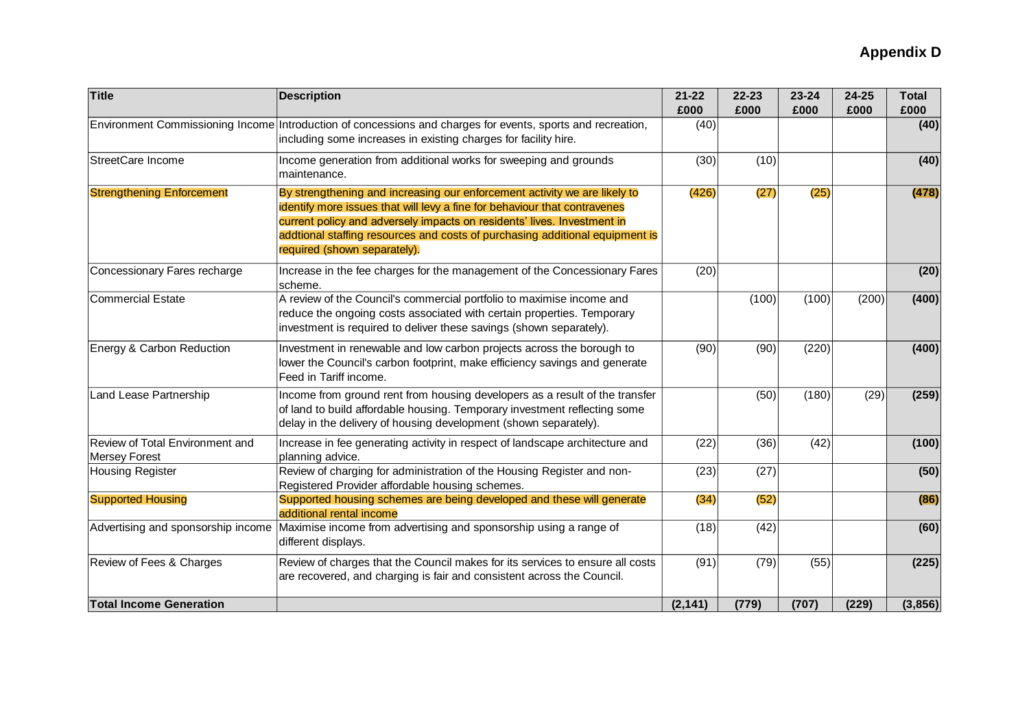| <b>Title</b>                                            | <b>Description</b>                                                                                                                                                                                                                                                                                                                                | $21 - 22$<br>£000 | $22 - 23$<br>£000 | $23 - 24$<br>£000 | 24-25<br>£000 | <b>Total</b><br>£000 |
|---------------------------------------------------------|---------------------------------------------------------------------------------------------------------------------------------------------------------------------------------------------------------------------------------------------------------------------------------------------------------------------------------------------------|-------------------|-------------------|-------------------|---------------|----------------------|
|                                                         | Environment Commissioning Income Introduction of concessions and charges for events, sports and recreation,<br>including some increases in existing charges for facility hire.                                                                                                                                                                    | (40)              |                   |                   |               | (40)                 |
| StreetCare Income                                       | Income generation from additional works for sweeping and grounds<br>maintenance.                                                                                                                                                                                                                                                                  | (30)              | (10)              |                   |               | (40)                 |
| <b>Strengthening Enforcement</b>                        | By strengthening and increasing our enforcement activity we are likely to<br>identify more issues that will levy a fine for behaviour that contravenes<br>current policy and adversely impacts on residents' lives. Investment in<br>addtional staffing resources and costs of purchasing additional equipment is<br>required (shown separately). | (426)             | (27)              | (25)              |               | (478)                |
| Concessionary Fares recharge                            | Increase in the fee charges for the management of the Concessionary Fares<br>scheme.                                                                                                                                                                                                                                                              | (20)              |                   |                   |               | (20)                 |
| <b>Commercial Estate</b>                                | A review of the Council's commercial portfolio to maximise income and<br>reduce the ongoing costs associated with certain properties. Temporary<br>investment is required to deliver these savings (shown separately).                                                                                                                            |                   | (100)             | (100)             | (200)         | (400)                |
| Energy & Carbon Reduction                               | Investment in renewable and low carbon projects across the borough to<br>lower the Council's carbon footprint, make efficiency savings and generate<br>Feed in Tariff income.                                                                                                                                                                     | (90)              | (90)              | (220)             |               | (400)                |
| Land Lease Partnership                                  | Income from ground rent from housing developers as a result of the transfer<br>of land to build affordable housing. Temporary investment reflecting some<br>delay in the delivery of housing development (shown separately).                                                                                                                      |                   | (50)              | (180)             | (29)          | (259)                |
| Review of Total Environment and<br><b>Mersey Forest</b> | Increase in fee generating activity in respect of landscape architecture and<br>planning advice.                                                                                                                                                                                                                                                  | (22)              | (36)              | (42)              |               | (100)                |
| <b>Housing Register</b>                                 | Review of charging for administration of the Housing Register and non-<br>Registered Provider affordable housing schemes.                                                                                                                                                                                                                         | (23)              | (27)              |                   |               | (50)                 |
| <b>Supported Housing</b>                                | Supported housing schemes are being developed and these will generate<br>additional rental income                                                                                                                                                                                                                                                 | (34)              | (52)              |                   |               | (86)                 |
| Advertising and sponsorship income                      | Maximise income from advertising and sponsorship using a range of<br>different displays.                                                                                                                                                                                                                                                          | (18)              | (42)              |                   |               | (60)                 |
| Review of Fees & Charges                                | Review of charges that the Council makes for its services to ensure all costs<br>are recovered, and charging is fair and consistent across the Council.                                                                                                                                                                                           | (91)              | (79)              | (55)              |               | (225)                |
| <b>Total Income Generation</b>                          |                                                                                                                                                                                                                                                                                                                                                   | (2, 141)          | (779)             | (707)             | (229)         | (3,856)              |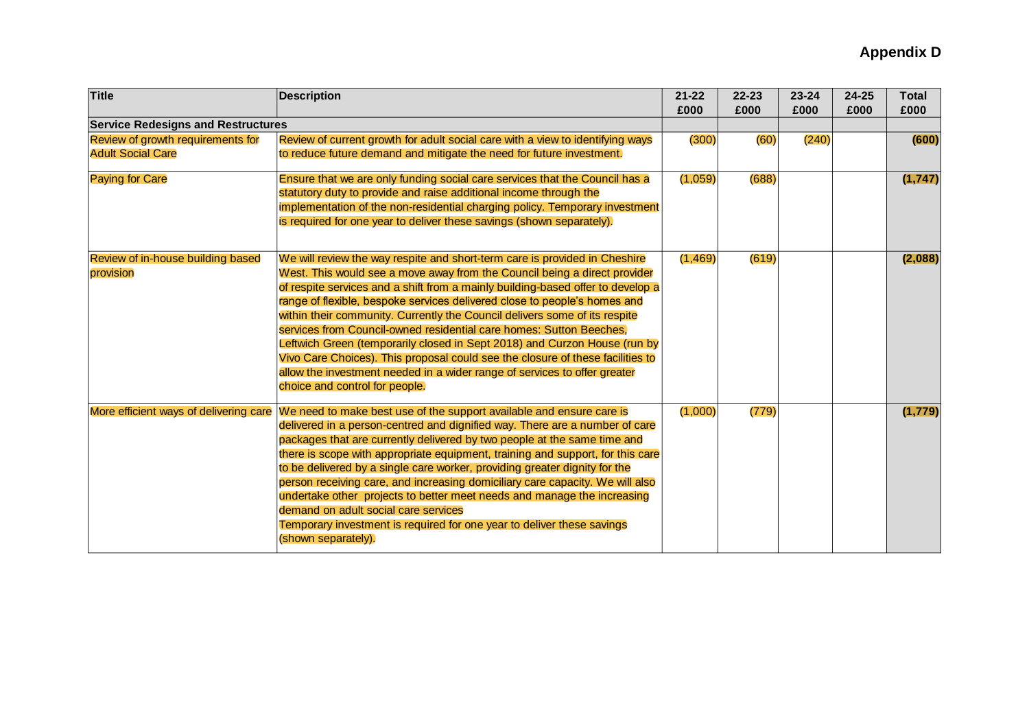| <b>Title</b>                              | <b>Description</b>                                                              | $21 - 22$<br>£000 | $22 - 23$<br>£000 | 23-24<br>£000 | 24-25<br>£000 | <b>Total</b><br>£000 |
|-------------------------------------------|---------------------------------------------------------------------------------|-------------------|-------------------|---------------|---------------|----------------------|
| <b>Service Redesigns and Restructures</b> |                                                                                 |                   |                   |               |               |                      |
| Review of growth requirements for         | Review of current growth for adult social care with a view to identifying ways  | (300)             | (60)              | (240)         |               | (600)                |
| <b>Adult Social Care</b>                  | to reduce future demand and mitigate the need for future investment.            |                   |                   |               |               |                      |
| <b>Paying for Care</b>                    | Ensure that we are only funding social care services that the Council has a     | (1,059)           | (688)             |               |               | (1, 747)             |
|                                           | statutory duty to provide and raise additional income through the               |                   |                   |               |               |                      |
|                                           | implementation of the non-residential charging policy. Temporary investment     |                   |                   |               |               |                      |
|                                           | is required for one year to deliver these savings (shown separately).           |                   |                   |               |               |                      |
| Review of in-house building based         | We will review the way respite and short-term care is provided in Cheshire      | (1, 469)          | (619)             |               |               | (2,088)              |
| provision                                 | West. This would see a move away from the Council being a direct provider       |                   |                   |               |               |                      |
|                                           | of respite services and a shift from a mainly building-based offer to develop a |                   |                   |               |               |                      |
|                                           | range of flexible, bespoke services delivered close to people's homes and       |                   |                   |               |               |                      |
|                                           | within their community. Currently the Council delivers some of its respite      |                   |                   |               |               |                      |
|                                           | services from Council-owned residential care homes: Sutton Beeches,             |                   |                   |               |               |                      |
|                                           | Leftwich Green (temporarily closed in Sept 2018) and Curzon House (run by       |                   |                   |               |               |                      |
|                                           | Vivo Care Choices). This proposal could see the closure of these facilities to  |                   |                   |               |               |                      |
|                                           | allow the investment needed in a wider range of services to offer greater       |                   |                   |               |               |                      |
|                                           | choice and control for people.                                                  |                   |                   |               |               |                      |
| More efficient ways of delivering care    | We need to make best use of the support available and ensure care is            | (1,000)           | (779)             |               |               | (1, 779)             |
|                                           | delivered in a person-centred and dignified way. There are a number of care     |                   |                   |               |               |                      |
|                                           | packages that are currently delivered by two people at the same time and        |                   |                   |               |               |                      |
|                                           | there is scope with appropriate equipment, training and support, for this care  |                   |                   |               |               |                      |
|                                           | to be delivered by a single care worker, providing greater dignity for the      |                   |                   |               |               |                      |
|                                           | person receiving care, and increasing domiciliary care capacity. We will also   |                   |                   |               |               |                      |
|                                           | undertake other projects to better meet needs and manage the increasing         |                   |                   |               |               |                      |
|                                           | demand on adult social care services                                            |                   |                   |               |               |                      |
|                                           | Temporary investment is required for one year to deliver these savings          |                   |                   |               |               |                      |
|                                           | (shown separately).                                                             |                   |                   |               |               |                      |
|                                           |                                                                                 |                   |                   |               |               |                      |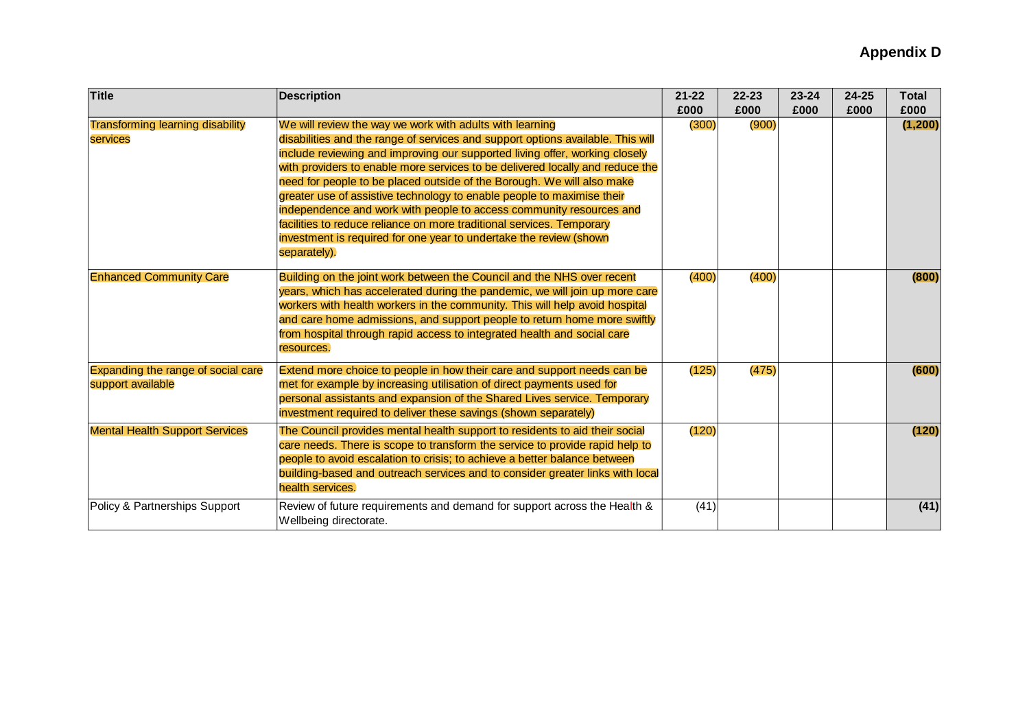| <b>Title</b>                                            | <b>Description</b>                                                                                                                                                                                                                                                                                                                                                                                                                                                                                                                                                                                                                                                                                    | $21 - 22$<br>£000 | $22 - 23$<br>£000 | $23 - 24$<br>£000 | 24-25<br>£000 | <b>Total</b><br>£000 |
|---------------------------------------------------------|-------------------------------------------------------------------------------------------------------------------------------------------------------------------------------------------------------------------------------------------------------------------------------------------------------------------------------------------------------------------------------------------------------------------------------------------------------------------------------------------------------------------------------------------------------------------------------------------------------------------------------------------------------------------------------------------------------|-------------------|-------------------|-------------------|---------------|----------------------|
| <b>Transforming learning disability</b><br>services     | We will review the way we work with adults with learning<br>disabilities and the range of services and support options available. This will<br>include reviewing and improving our supported living offer, working closely<br>with providers to enable more services to be delivered locally and reduce the<br>need for people to be placed outside of the Borough. We will also make<br>greater use of assistive technology to enable people to maximise their<br>independence and work with people to access community resources and<br>facilities to reduce reliance on more traditional services. Temporary<br>investment is required for one year to undertake the review (shown<br>separately). | (300)             | (900)             |                   |               | (1, 200)             |
| <b>Enhanced Community Care</b>                          | Building on the joint work between the Council and the NHS over recent<br>years, which has accelerated during the pandemic, we will join up more care<br>workers with health workers in the community. This will help avoid hospital<br>and care home admissions, and support people to return home more swiftly<br>from hospital through rapid access to integrated health and social care<br>resources.                                                                                                                                                                                                                                                                                             | (400)             | (400)             |                   |               | (800)                |
| Expanding the range of social care<br>support available | Extend more choice to people in how their care and support needs can be<br>met for example by increasing utilisation of direct payments used for<br>personal assistants and expansion of the Shared Lives service. Temporary<br>investment required to deliver these savings (shown separately)                                                                                                                                                                                                                                                                                                                                                                                                       | (125)             | (475)             |                   |               | (600)                |
| <b>Mental Health Support Services</b>                   | The Council provides mental health support to residents to aid their social<br>care needs. There is scope to transform the service to provide rapid help to<br>people to avoid escalation to crisis; to achieve a better balance between<br>building-based and outreach services and to consider greater links with local<br>health services.                                                                                                                                                                                                                                                                                                                                                         | (120)             |                   |                   |               | (120)                |
| Policy & Partnerships Support                           | Review of future requirements and demand for support across the Health &<br>Wellbeing directorate.                                                                                                                                                                                                                                                                                                                                                                                                                                                                                                                                                                                                    | (41)              |                   |                   |               | (41)                 |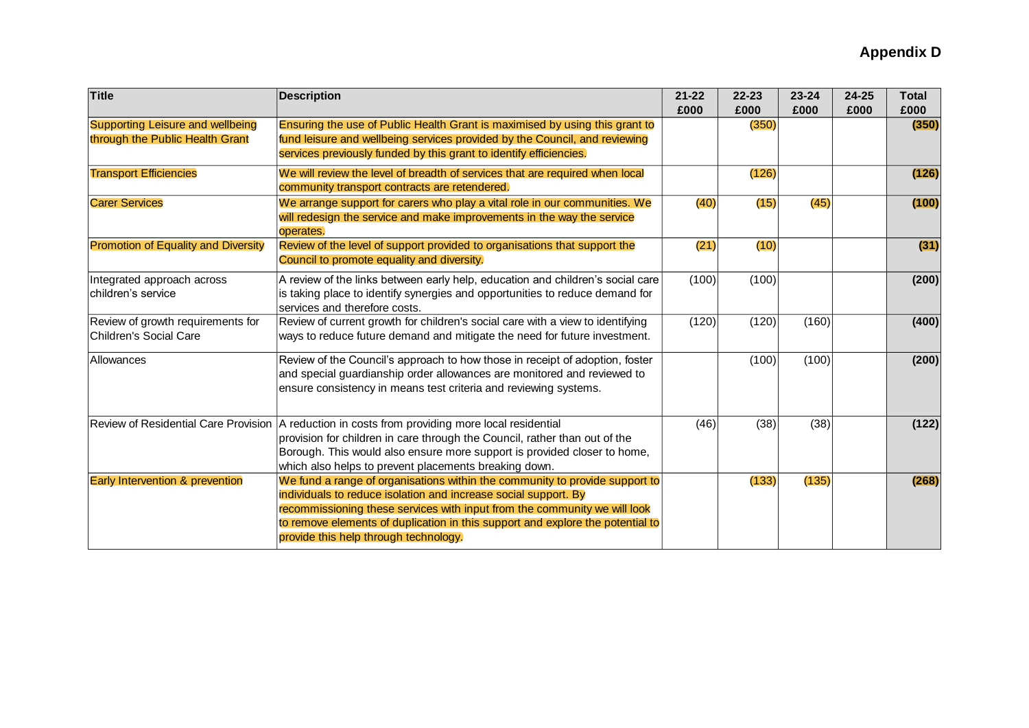| <b>Title</b>                                                               | <b>Description</b>                                                                                                                                                                                                                                                                                                                                     | $21 - 22$<br>£000 | $22 - 23$<br>£000 | $23 - 24$<br>£000 | $24 - 25$<br>£000 | <b>Total</b><br>£000 |
|----------------------------------------------------------------------------|--------------------------------------------------------------------------------------------------------------------------------------------------------------------------------------------------------------------------------------------------------------------------------------------------------------------------------------------------------|-------------------|-------------------|-------------------|-------------------|----------------------|
| <b>Supporting Leisure and wellbeing</b><br>through the Public Health Grant | Ensuring the use of Public Health Grant is maximised by using this grant to<br>fund leisure and wellbeing services provided by the Council, and reviewing<br>services previously funded by this grant to identify efficiencies.                                                                                                                        |                   | (350)             |                   |                   | (350)                |
| <b>Transport Efficiencies</b>                                              | We will review the level of breadth of services that are required when local<br>community transport contracts are retendered.                                                                                                                                                                                                                          |                   | (126)             |                   |                   | (126)                |
| <b>Carer Services</b>                                                      | We arrange support for carers who play a vital role in our communities. We<br>will redesign the service and make improvements in the way the service<br>operates.                                                                                                                                                                                      | (40)              | (15)              | (45)              |                   | (100)                |
| <b>Promotion of Equality and Diversity</b>                                 | Review of the level of support provided to organisations that support the<br>Council to promote equality and diversity.                                                                                                                                                                                                                                | (21)              | (10)              |                   |                   | (31)                 |
| Integrated approach across<br>children's service                           | A review of the links between early help, education and children's social care<br>is taking place to identify synergies and opportunities to reduce demand for<br>services and therefore costs.                                                                                                                                                        | (100)             | (100)             |                   |                   | (200)                |
| Review of growth requirements for<br>Children's Social Care                | Review of current growth for children's social care with a view to identifying<br>ways to reduce future demand and mitigate the need for future investment.                                                                                                                                                                                            | (120)             | (120)             | (160)             |                   | (400)                |
| Allowances                                                                 | Review of the Council's approach to how those in receipt of adoption, foster<br>and special guardianship order allowances are monitored and reviewed to<br>ensure consistency in means test criteria and reviewing systems.                                                                                                                            |                   | (100)             | (100)             |                   | (200)                |
|                                                                            | Review of Residential Care Provision   A reduction in costs from providing more local residential<br>provision for children in care through the Council, rather than out of the<br>Borough. This would also ensure more support is provided closer to home,<br>which also helps to prevent placements breaking down.                                   | (46)              | (38)              | (38)              |                   | (122)                |
| Early Intervention & prevention                                            | We fund a range of organisations within the community to provide support to<br>individuals to reduce isolation and increase social support. By<br>recommissioning these services with input from the community we will look<br>to remove elements of duplication in this support and explore the potential to<br>provide this help through technology. |                   | (133)             | (135)             |                   | (268)                |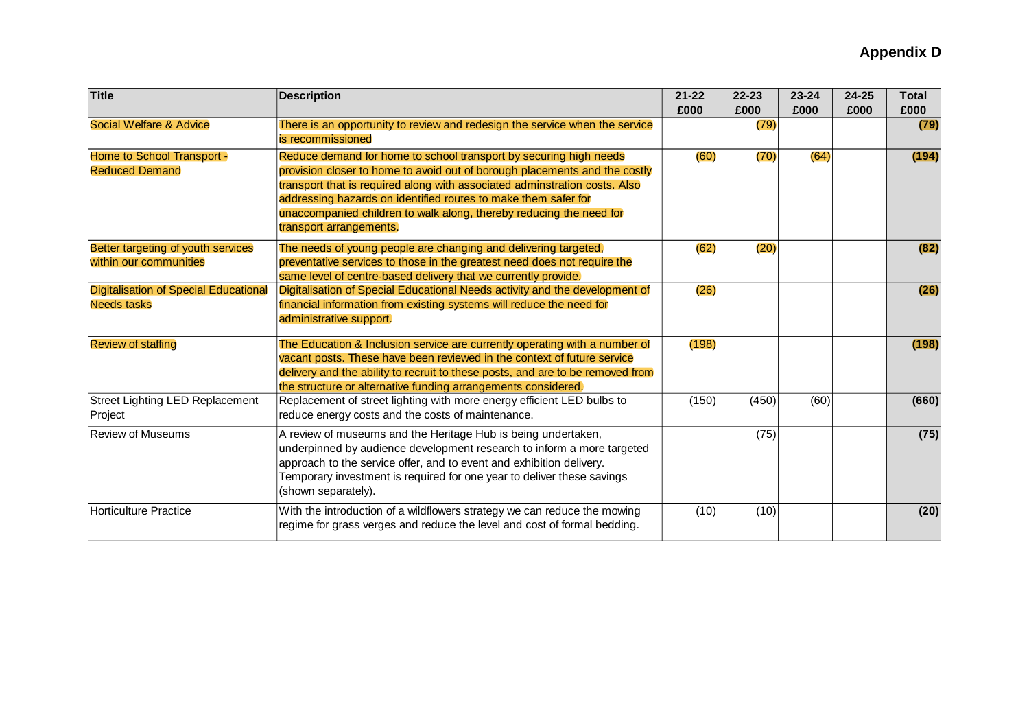| <b>Title</b>                                                       | <b>Description</b>                                                                                                                                                                                                                                                                                                                                                                                | $21 - 22$<br>£000 | $22 - 23$<br>£000 | $23 - 24$<br>£000 | $24 - 25$<br>£000 | <b>Total</b><br>£000 |
|--------------------------------------------------------------------|---------------------------------------------------------------------------------------------------------------------------------------------------------------------------------------------------------------------------------------------------------------------------------------------------------------------------------------------------------------------------------------------------|-------------------|-------------------|-------------------|-------------------|----------------------|
| <b>Social Welfare &amp; Advice</b>                                 | There is an opportunity to review and redesign the service when the service<br>is recommissioned                                                                                                                                                                                                                                                                                                  |                   | (79)              |                   |                   | (79)                 |
| Home to School Transport -<br><b>Reduced Demand</b>                | Reduce demand for home to school transport by securing high needs<br>provision closer to home to avoid out of borough placements and the costly<br>transport that is required along with associated adminstration costs. Also<br>addressing hazards on identified routes to make them safer for<br>unaccompanied children to walk along, thereby reducing the need for<br>transport arrangements. | (60)              | (70)              | (64)              |                   | (194)                |
| Better targeting of youth services<br>within our communities       | The needs of young people are changing and delivering targeted,<br>preventative services to those in the greatest need does not require the<br>same level of centre-based delivery that we currently provide.                                                                                                                                                                                     | (62)              | (20)              |                   |                   | (82)                 |
| <b>Digitalisation of Special Educational</b><br><b>Needs tasks</b> | Digitalisation of Special Educational Needs activity and the development of<br>financial information from existing systems will reduce the need for<br>administrative support.                                                                                                                                                                                                                    | (26)              |                   |                   |                   | (26)                 |
| <b>Review of staffing</b>                                          | The Education & Inclusion service are currently operating with a number of<br>vacant posts. These have been reviewed in the context of future service<br>delivery and the ability to recruit to these posts, and are to be removed from<br>the structure or alternative funding arrangements considered.                                                                                          | (198)             |                   |                   |                   | (198)                |
| <b>Street Lighting LED Replacement</b><br>Project                  | Replacement of street lighting with more energy efficient LED bulbs to<br>reduce energy costs and the costs of maintenance.                                                                                                                                                                                                                                                                       | (150)             | (450)             | (60)              |                   | (660)                |
| <b>Review of Museums</b>                                           | A review of museums and the Heritage Hub is being undertaken,<br>underpinned by audience development research to inform a more targeted<br>approach to the service offer, and to event and exhibition delivery.<br>Temporary investment is required for one year to deliver these savings<br>(shown separately).                                                                                  |                   | (75)              |                   |                   | (75)                 |
| <b>Horticulture Practice</b>                                       | With the introduction of a wildflowers strategy we can reduce the mowing<br>regime for grass verges and reduce the level and cost of formal bedding.                                                                                                                                                                                                                                              | (10)              | (10)              |                   |                   | (20)                 |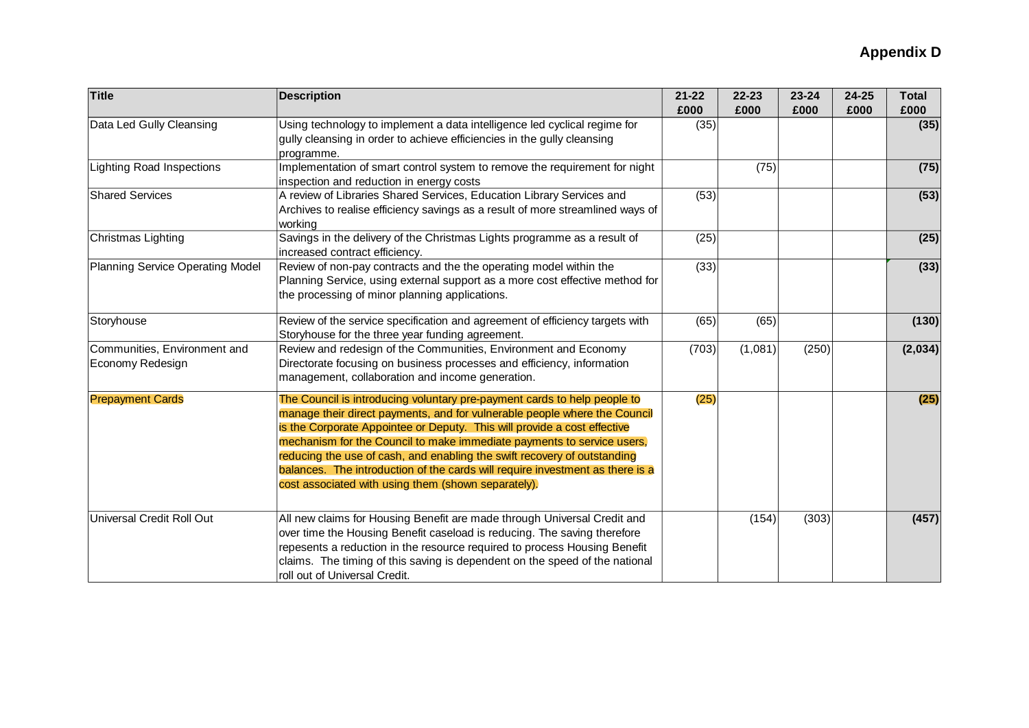| <b>Title</b>                                     | <b>Description</b>                                                                                                                                                                                                                                                                                                                                                                                                                                                                                                              | $21 - 22$<br>£000 | $22 - 23$<br>£000 | $23 - 24$<br>£000 | $24 - 25$<br>£000 | Total<br>£000 |
|--------------------------------------------------|---------------------------------------------------------------------------------------------------------------------------------------------------------------------------------------------------------------------------------------------------------------------------------------------------------------------------------------------------------------------------------------------------------------------------------------------------------------------------------------------------------------------------------|-------------------|-------------------|-------------------|-------------------|---------------|
| Data Led Gully Cleansing                         | Using technology to implement a data intelligence led cyclical regime for<br>gully cleansing in order to achieve efficiencies in the gully cleansing<br>programme.                                                                                                                                                                                                                                                                                                                                                              | (35)              |                   |                   |                   | (35)          |
| <b>Lighting Road Inspections</b>                 | Implementation of smart control system to remove the requirement for night<br>inspection and reduction in energy costs                                                                                                                                                                                                                                                                                                                                                                                                          |                   | (75)              |                   |                   | (75)          |
| <b>Shared Services</b>                           | A review of Libraries Shared Services, Education Library Services and<br>Archives to realise efficiency savings as a result of more streamlined ways of<br>working                                                                                                                                                                                                                                                                                                                                                              | (53)              |                   |                   |                   | (53)          |
| Christmas Lighting                               | Savings in the delivery of the Christmas Lights programme as a result of<br>increased contract efficiency.                                                                                                                                                                                                                                                                                                                                                                                                                      | (25)              |                   |                   |                   | (25)          |
| Planning Service Operating Model                 | Review of non-pay contracts and the the operating model within the<br>Planning Service, using external support as a more cost effective method for<br>the processing of minor planning applications.                                                                                                                                                                                                                                                                                                                            | (33)              |                   |                   |                   | (33)          |
| Storyhouse                                       | Review of the service specification and agreement of efficiency targets with<br>Storyhouse for the three year funding agreement.                                                                                                                                                                                                                                                                                                                                                                                                | (65)              | (65)              |                   |                   | (130)         |
| Communities, Environment and<br>Economy Redesign | Review and redesign of the Communities, Environment and Economy<br>Directorate focusing on business processes and efficiency, information<br>management, collaboration and income generation.                                                                                                                                                                                                                                                                                                                                   | (703)             | (1,081)           | (250)             |                   | (2,034)       |
| <b>Prepayment Cards</b>                          | The Council is introducing voluntary pre-payment cards to help people to<br>manage their direct payments, and for vulnerable people where the Council<br>is the Corporate Appointee or Deputy. This will provide a cost effective<br>mechanism for the Council to make immediate payments to service users,<br>reducing the use of cash, and enabling the swift recovery of outstanding<br>balances. The introduction of the cards will require investment as there is a<br>cost associated with using them (shown separately). | (25)              |                   |                   |                   | (25)          |
| Universal Credit Roll Out                        | All new claims for Housing Benefit are made through Universal Credit and<br>over time the Housing Benefit caseload is reducing. The saving therefore<br>repesents a reduction in the resource required to process Housing Benefit<br>claims. The timing of this saving is dependent on the speed of the national<br>roll out of Universal Credit.                                                                                                                                                                               |                   | (154)             | (303)             |                   | (457)         |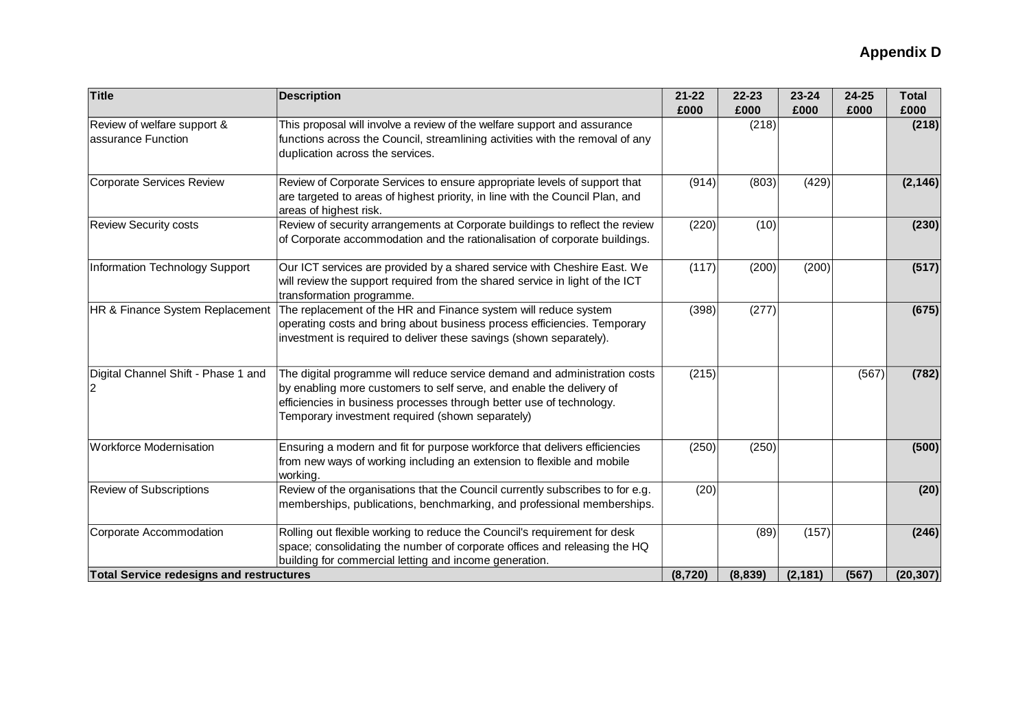| <b>Title</b>                                      | <b>Description</b>                                                                                                                                                                                                                                                            | $21 - 22$<br>£000 | $22 - 23$<br>£000 | 23-24<br>£000 | 24-25<br>£000 | <b>Total</b><br>£000 |
|---------------------------------------------------|-------------------------------------------------------------------------------------------------------------------------------------------------------------------------------------------------------------------------------------------------------------------------------|-------------------|-------------------|---------------|---------------|----------------------|
| Review of welfare support &<br>assurance Function | This proposal will involve a review of the welfare support and assurance<br>functions across the Council, streamlining activities with the removal of any<br>duplication across the services.                                                                                 |                   | (218)             |               |               | (218)                |
| Corporate Services Review                         | Review of Corporate Services to ensure appropriate levels of support that<br>are targeted to areas of highest priority, in line with the Council Plan, and<br>areas of highest risk.                                                                                          | (914)             | (803)             | (429)         |               | (2, 146)             |
| <b>Review Security costs</b>                      | Review of security arrangements at Corporate buildings to reflect the review<br>of Corporate accommodation and the rationalisation of corporate buildings.                                                                                                                    | (220)             | (10)              |               |               | (230)                |
| Information Technology Support                    | Our ICT services are provided by a shared service with Cheshire East. We<br>will review the support required from the shared service in light of the ICT<br>transformation programme.                                                                                         | (117)             | (200)             | (200)         |               | (517)                |
| HR & Finance System Replacement                   | The replacement of the HR and Finance system will reduce system<br>operating costs and bring about business process efficiencies. Temporary<br>investment is required to deliver these savings (shown separately).                                                            | (398)             | (277)             |               |               | (675)                |
| Digital Channel Shift - Phase 1 and<br>2          | The digital programme will reduce service demand and administration costs<br>by enabling more customers to self serve, and enable the delivery of<br>efficiencies in business processes through better use of technology.<br>Temporary investment required (shown separately) | (215)             |                   |               | (567)         | (782)                |
| <b>Workforce Modernisation</b>                    | Ensuring a modern and fit for purpose workforce that delivers efficiencies<br>from new ways of working including an extension to flexible and mobile<br>working.                                                                                                              | (250)             | (250)             |               |               | (500)                |
| <b>Review of Subscriptions</b>                    | Review of the organisations that the Council currently subscribes to for e.g.<br>memberships, publications, benchmarking, and professional memberships.                                                                                                                       | (20)              |                   |               |               | (20)                 |
| Corporate Accommodation                           | Rolling out flexible working to reduce the Council's requirement for desk<br>space; consolidating the number of corporate offices and releasing the HQ<br>building for commercial letting and income generation.                                                              |                   | (89)              | (157)         |               | (246)                |
| <b>Total Service redesigns and restructures</b>   |                                                                                                                                                                                                                                                                               | (8, 720)          | (8,839)           | (2, 181)      | (567)         | (20, 307)            |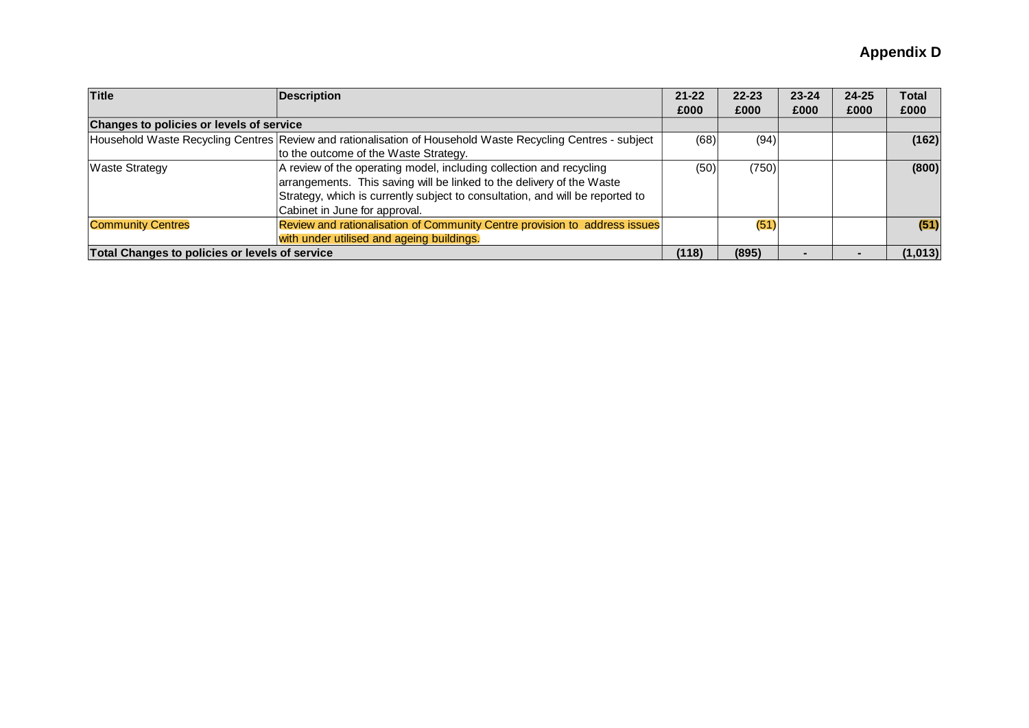| <b>Title</b>                                   | <b>Description</b>                                                                                          | $21 - 22$ | $22 - 23$ | $23 - 24$ | $24 - 25$ | Total    |
|------------------------------------------------|-------------------------------------------------------------------------------------------------------------|-----------|-----------|-----------|-----------|----------|
|                                                |                                                                                                             | £000      | £000      | £000      | £000      | £000     |
|                                                | Changes to policies or levels of service                                                                    |           |           |           |           |          |
|                                                | Household Waste Recycling Centres Review and rationalisation of Household Waste Recycling Centres - subject | (68)      | (94)      |           |           | (162)    |
|                                                | to the outcome of the Waste Strategy.                                                                       |           |           |           |           |          |
| <b>Waste Strategy</b>                          | A review of the operating model, including collection and recycling                                         | (50)      | (750)     |           |           | (800)    |
|                                                | arrangements. This saving will be linked to the delivery of the Waste                                       |           |           |           |           |          |
|                                                | Strategy, which is currently subject to consultation, and will be reported to                               |           |           |           |           |          |
|                                                | Cabinet in June for approval.                                                                               |           |           |           |           |          |
| <b>Community Centres</b>                       | Review and rationalisation of Community Centre provision to address issues                                  |           | (51)      |           |           | (51)     |
|                                                | with under utilised and ageing buildings.                                                                   |           |           |           |           |          |
| Total Changes to policies or levels of service |                                                                                                             | (118)     | (895)     |           |           | (1, 013) |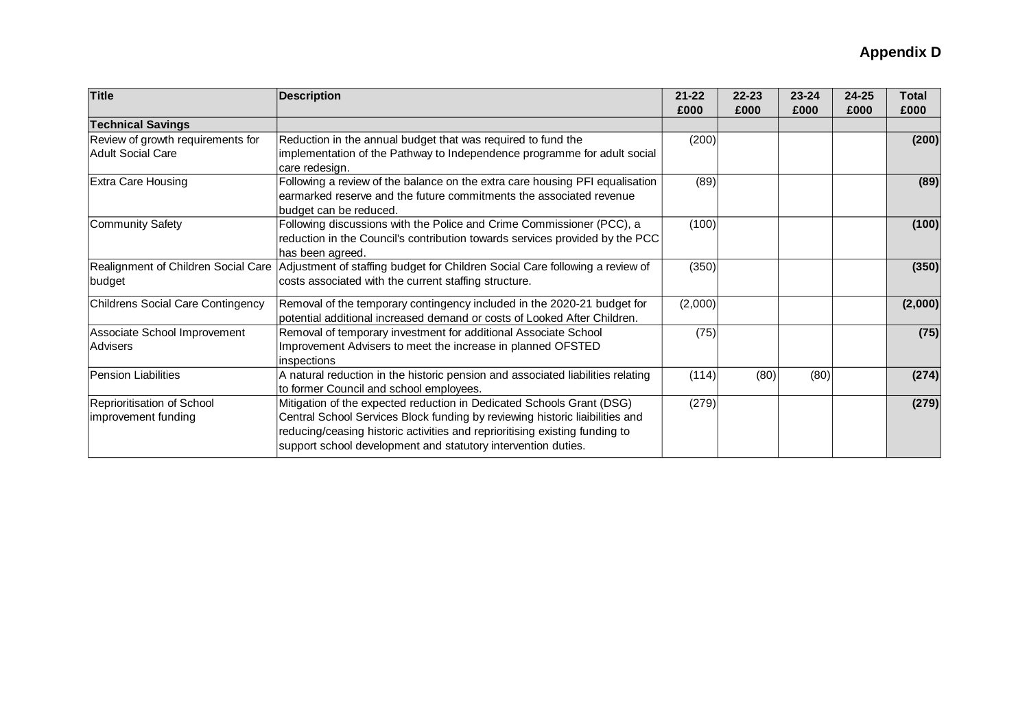| <b>Title</b>                                                  | <b>Description</b>                                                                                                                                                                                                                                                                                    | $21 - 22$<br>£000 | $22 - 23$<br>£000 | $23 - 24$<br>£000 | $24 - 25$<br>£000 | <b>Total</b><br>£000 |
|---------------------------------------------------------------|-------------------------------------------------------------------------------------------------------------------------------------------------------------------------------------------------------------------------------------------------------------------------------------------------------|-------------------|-------------------|-------------------|-------------------|----------------------|
| <b>Technical Savings</b>                                      |                                                                                                                                                                                                                                                                                                       |                   |                   |                   |                   |                      |
| Review of growth requirements for<br><b>Adult Social Care</b> | Reduction in the annual budget that was required to fund the<br>implementation of the Pathway to Independence programme for adult social<br>care redesign.                                                                                                                                            | (200)             |                   |                   |                   | (200)                |
| <b>Extra Care Housing</b>                                     | Following a review of the balance on the extra care housing PFI equalisation<br>earmarked reserve and the future commitments the associated revenue<br>budget can be reduced.                                                                                                                         | (89)              |                   |                   |                   | (89)                 |
| Community Safety                                              | Following discussions with the Police and Crime Commissioner (PCC), a<br>reduction in the Council's contribution towards services provided by the PCC<br>has been agreed.                                                                                                                             | (100)             |                   |                   |                   | (100)                |
| Realignment of Children Social Care<br>budget                 | Adjustment of staffing budget for Children Social Care following a review of<br>costs associated with the current staffing structure.                                                                                                                                                                 | (350)             |                   |                   |                   | (350)                |
| Childrens Social Care Contingency                             | Removal of the temporary contingency included in the 2020-21 budget for<br>potential additional increased demand or costs of Looked After Children.                                                                                                                                                   | (2,000)           |                   |                   |                   | (2,000)              |
| Associate School Improvement<br>Advisers                      | Removal of temporary investment for additional Associate School<br>Improvement Advisers to meet the increase in planned OFSTED<br>inspections                                                                                                                                                         | (75)              |                   |                   |                   | (75)                 |
| Pension Liabilities                                           | A natural reduction in the historic pension and associated liabilities relating<br>to former Council and school employees.                                                                                                                                                                            | (114)             | (80)              | (80)              |                   | (274)                |
| Reprioritisation of School<br>improvement funding             | Mitigation of the expected reduction in Dedicated Schools Grant (DSG)<br>Central School Services Block funding by reviewing historic liaibilities and<br>reducing/ceasing historic activities and reprioritising existing funding to<br>support school development and statutory intervention duties. | (279)             |                   |                   |                   | (279)                |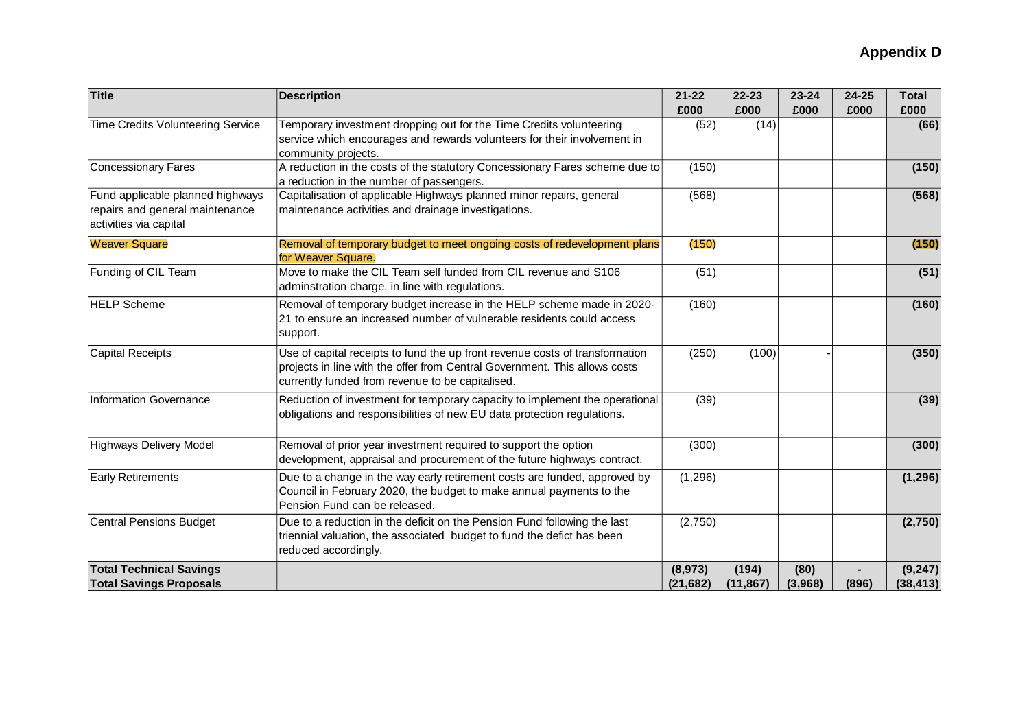| <b>Title</b>                                                                                  | <b>Description</b>                                                                                                                                                                                             | $21 - 22$<br>£000 | 22-23<br>£000 | 23-24<br>£000 | 24-25<br>£000 | <b>Total</b><br>£000 |
|-----------------------------------------------------------------------------------------------|----------------------------------------------------------------------------------------------------------------------------------------------------------------------------------------------------------------|-------------------|---------------|---------------|---------------|----------------------|
| <b>Time Credits Volunteering Service</b>                                                      | Temporary investment dropping out for the Time Credits volunteering<br>service which encourages and rewards volunteers for their involvement in<br>community projects.                                         | (52)              | (14)          |               |               | (66)                 |
| <b>Concessionary Fares</b>                                                                    | A reduction in the costs of the statutory Concessionary Fares scheme due to<br>a reduction in the number of passengers.                                                                                        | (150)             |               |               |               | (150)                |
| Fund applicable planned highways<br>repairs and general maintenance<br>activities via capital | Capitalisation of applicable Highways planned minor repairs, general<br>maintenance activities and drainage investigations.                                                                                    | (568)             |               |               |               | (568)                |
| <b>Weaver Square</b>                                                                          | Removal of temporary budget to meet ongoing costs of redevelopment plans<br>for Weaver Square.                                                                                                                 | (150)             |               |               |               | (150)                |
| Funding of CIL Team                                                                           | Move to make the CIL Team self funded from CIL revenue and S106<br>adminstration charge, in line with regulations.                                                                                             | (51)              |               |               |               | (51)                 |
| <b>HELP Scheme</b>                                                                            | Removal of temporary budget increase in the HELP scheme made in 2020-<br>21 to ensure an increased number of vulnerable residents could access<br>support.                                                     | (160)             |               |               |               | (160)                |
| <b>Capital Receipts</b>                                                                       | Use of capital receipts to fund the up front revenue costs of transformation<br>projects in line with the offer from Central Government. This allows costs<br>currently funded from revenue to be capitalised. | (250)             | (100)         |               |               | (350)                |
| Information Governance                                                                        | Reduction of investment for temporary capacity to implement the operational<br>obligations and responsibilities of new EU data protection regulations.                                                         | (39)              |               |               |               | (39)                 |
| <b>Highways Delivery Model</b>                                                                | Removal of prior year investment required to support the option<br>development, appraisal and procurement of the future highways contract.                                                                     | (300)             |               |               |               | (300)                |
| <b>Early Retirements</b>                                                                      | Due to a change in the way early retirement costs are funded, approved by<br>Council in February 2020, the budget to make annual payments to the<br>Pension Fund can be released.                              | (1, 296)          |               |               |               | (1, 296)             |
| <b>Central Pensions Budget</b>                                                                | Due to a reduction in the deficit on the Pension Fund following the last<br>triennial valuation, the associated budget to fund the defict has been<br>reduced accordingly.                                     | (2,750)           |               |               |               | (2,750)              |
| <b>Total Technical Savings</b>                                                                |                                                                                                                                                                                                                | (8,973)           | (194)         | (80)          |               | (9, 247)             |
| <b>Total Savings Proposals</b>                                                                |                                                                                                                                                                                                                | (21, 682)         | (11, 867)     | (3,968)       | (896)         | (38, 413)            |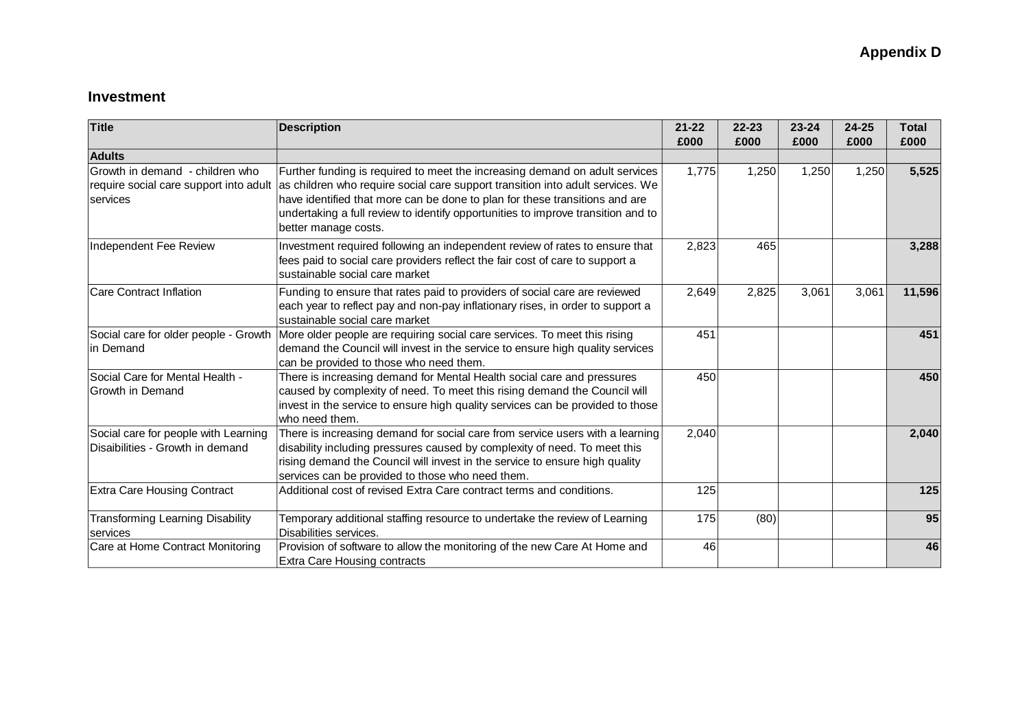## **Investment**

| Title                                                                                 | <b>Description</b>                                                                                                                                                                                                                                                                                                                                       | $21 - 22$<br>£000 | $22 - 23$<br>£000 | $23 - 24$<br>£000 | $24 - 25$<br>£000 | <b>Total</b><br>£000 |
|---------------------------------------------------------------------------------------|----------------------------------------------------------------------------------------------------------------------------------------------------------------------------------------------------------------------------------------------------------------------------------------------------------------------------------------------------------|-------------------|-------------------|-------------------|-------------------|----------------------|
| <b>Adults</b>                                                                         |                                                                                                                                                                                                                                                                                                                                                          |                   |                   |                   |                   |                      |
| Growth in demand - children who<br>require social care support into adult<br>services | Further funding is required to meet the increasing demand on adult services<br>as children who require social care support transition into adult services. We<br>have identified that more can be done to plan for these transitions and are<br>undertaking a full review to identify opportunities to improve transition and to<br>better manage costs. | 1,775             | 1,250             | 1,250             | 1,250             | 5,525                |
| Independent Fee Review                                                                | Investment required following an independent review of rates to ensure that<br>fees paid to social care providers reflect the fair cost of care to support a<br>sustainable social care market                                                                                                                                                           | 2,823             | 465               |                   |                   | 3,288                |
| <b>Care Contract Inflation</b>                                                        | Funding to ensure that rates paid to providers of social care are reviewed<br>each year to reflect pay and non-pay inflationary rises, in order to support a<br>sustainable social care market                                                                                                                                                           | 2,649             | 2,825             | 3,061             | 3,061             | 11,596               |
| Social care for older people - Growth<br>in Demand                                    | More older people are requiring social care services. To meet this rising<br>demand the Council will invest in the service to ensure high quality services<br>can be provided to those who need them.                                                                                                                                                    | 451               |                   |                   |                   | 451                  |
| Social Care for Mental Health -<br>Growth in Demand                                   | There is increasing demand for Mental Health social care and pressures<br>caused by complexity of need. To meet this rising demand the Council will<br>invest in the service to ensure high quality services can be provided to those<br>who need them.                                                                                                  | 450               |                   |                   |                   | 450                  |
| Social care for people with Learning<br>Disaibilities - Growth in demand              | There is increasing demand for social care from service users with a learning<br>disability including pressures caused by complexity of need. To meet this<br>rising demand the Council will invest in the service to ensure high quality<br>services can be provided to those who need them.                                                            | 2,040             |                   |                   |                   | 2,040                |
| <b>Extra Care Housing Contract</b>                                                    | Additional cost of revised Extra Care contract terms and conditions.                                                                                                                                                                                                                                                                                     | 125               |                   |                   |                   | 125                  |
| <b>Transforming Learning Disability</b><br>services                                   | Temporary additional staffing resource to undertake the review of Learning<br>Disabilities services.                                                                                                                                                                                                                                                     | 175               | (80)              |                   |                   | 95                   |
| Care at Home Contract Monitoring                                                      | Provision of software to allow the monitoring of the new Care At Home and<br><b>Extra Care Housing contracts</b>                                                                                                                                                                                                                                         | 46                |                   |                   |                   | 46                   |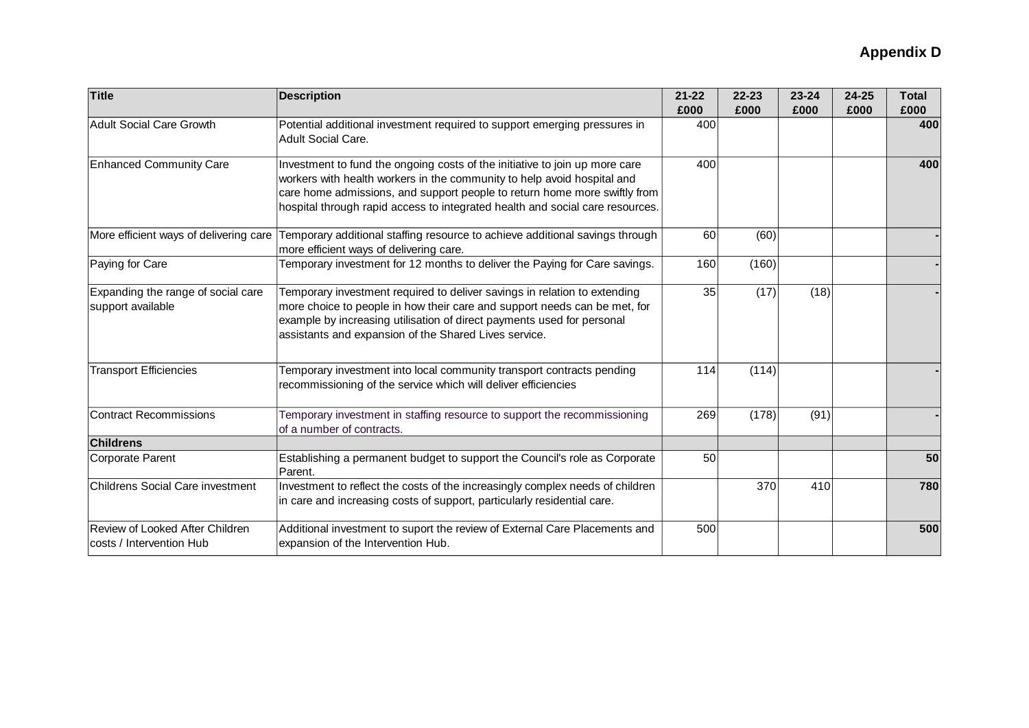| <b>Title</b>                                                | <b>Description</b>                                                                                                                                                                                                                                                                                                   | $21 - 22$<br>£000 | $22 - 23$<br>£000 | $23 - 24$<br>£000 | 24-25<br>£000 | <b>Total</b><br>£000 |
|-------------------------------------------------------------|----------------------------------------------------------------------------------------------------------------------------------------------------------------------------------------------------------------------------------------------------------------------------------------------------------------------|-------------------|-------------------|-------------------|---------------|----------------------|
| <b>Adult Social Care Growth</b>                             | Potential additional investment required to support emerging pressures in<br><b>Adult Social Care.</b>                                                                                                                                                                                                               | 400               |                   |                   |               | 400                  |
| <b>Enhanced Community Care</b>                              | Investment to fund the ongoing costs of the initiative to join up more care<br>workers with health workers in the community to help avoid hospital and<br>care home admissions, and support people to return home more swiftly from<br>hospital through rapid access to integrated health and social care resources. | 400               |                   |                   |               | 400                  |
| More efficient ways of delivering care                      | Temporary additional staffing resource to achieve additional savings through<br>more efficient ways of delivering care.                                                                                                                                                                                              | 60                | (60)              |                   |               |                      |
| Paying for Care                                             | Temporary investment for 12 months to deliver the Paying for Care savings.                                                                                                                                                                                                                                           | 160               | (160)             |                   |               |                      |
| Expanding the range of social care<br>support available     | Temporary investment required to deliver savings in relation to extending<br>more choice to people in how their care and support needs can be met, for<br>example by increasing utilisation of direct payments used for personal<br>assistants and expansion of the Shared Lives service.                            | 35                | (17)              | (18)              |               |                      |
| <b>Transport Efficiencies</b>                               | Temporary investment into local community transport contracts pending<br>recommissioning of the service which will deliver efficiencies                                                                                                                                                                              | 114               | (114)             |                   |               |                      |
| <b>Contract Recommissions</b>                               | Temporary investment in staffing resource to support the recommissioning<br>of a number of contracts.                                                                                                                                                                                                                | 269               | (178)             | (91)              |               |                      |
| <b>Childrens</b>                                            |                                                                                                                                                                                                                                                                                                                      |                   |                   |                   |               |                      |
| Corporate Parent                                            | Establishing a permanent budget to support the Council's role as Corporate<br>Parent.                                                                                                                                                                                                                                | 50                |                   |                   |               | 50                   |
| Childrens Social Care investment                            | Investment to reflect the costs of the increasingly complex needs of children<br>in care and increasing costs of support, particularly residential care.                                                                                                                                                             |                   | 370               | 410               |               | 780                  |
| Review of Looked After Children<br>costs / Intervention Hub | Additional investment to suport the review of External Care Placements and<br>expansion of the Intervention Hub.                                                                                                                                                                                                     | 500               |                   |                   |               | 500                  |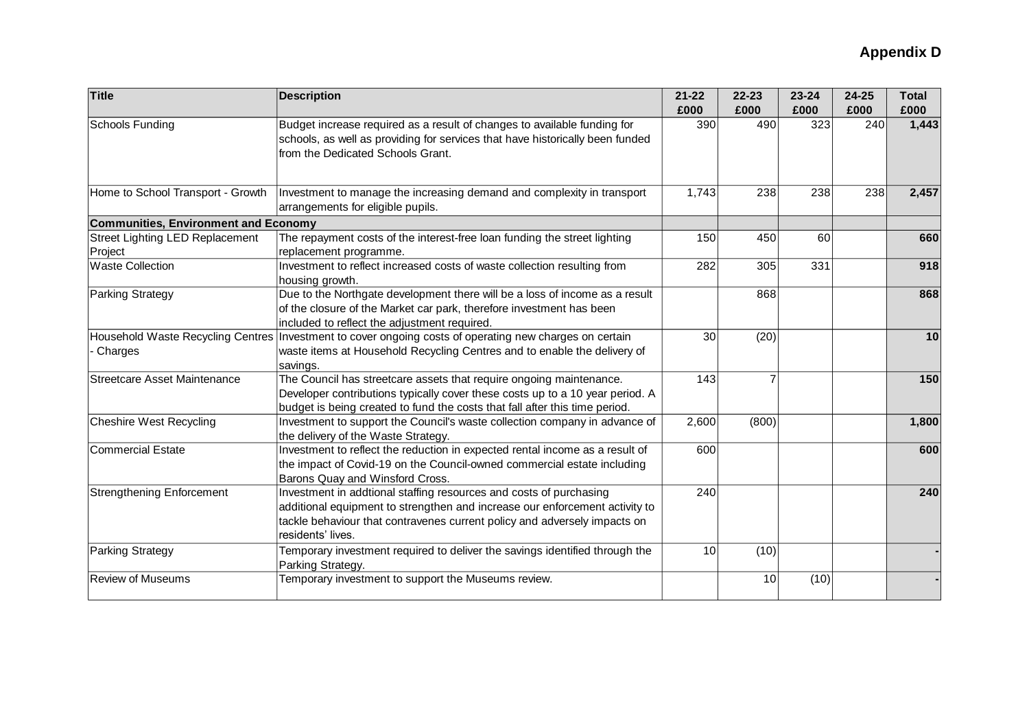| Title                                             | <b>Description</b>                                                                                                                                                                                                                                  | $21 - 22$ | 22-23          | 23-24 | 24-25 | <b>Total</b> |
|---------------------------------------------------|-----------------------------------------------------------------------------------------------------------------------------------------------------------------------------------------------------------------------------------------------------|-----------|----------------|-------|-------|--------------|
|                                                   |                                                                                                                                                                                                                                                     | £000      | £000           | £000  | £000  | £000         |
| <b>Schools Funding</b>                            | Budget increase required as a result of changes to available funding for<br>schools, as well as providing for services that have historically been funded<br>from the Dedicated Schools Grant.                                                      | 390       | 490            | 323   | 240   | 1,443        |
| Home to School Transport - Growth                 | Investment to manage the increasing demand and complexity in transport<br>arrangements for eligible pupils.                                                                                                                                         | 1,743     | 238            | 238   | 238   | 2,457        |
| <b>Communities, Environment and Economy</b>       |                                                                                                                                                                                                                                                     |           |                |       |       |              |
| <b>Street Lighting LED Replacement</b><br>Project | The repayment costs of the interest-free loan funding the street lighting<br>replacement programme.                                                                                                                                                 | 150       | 450            | 60    |       | 660          |
| <b>Waste Collection</b>                           | Investment to reflect increased costs of waste collection resulting from<br>housing growth.                                                                                                                                                         | 282       | 305            | 331   |       | 918          |
| <b>Parking Strategy</b>                           | Due to the Northgate development there will be a loss of income as a result<br>of the closure of the Market car park, therefore investment has been<br>included to reflect the adjustment required.                                                 |           | 868            |       |       | 868          |
| Charges                                           | Household Waste Recycling Centres Investment to cover ongoing costs of operating new charges on certain<br>waste items at Household Recycling Centres and to enable the delivery of<br>savings.                                                     | 30        | (20)           |       |       | 10           |
| <b>Streetcare Asset Maintenance</b>               | The Council has streetcare assets that require ongoing maintenance.<br>Developer contributions typically cover these costs up to a 10 year period. A<br>budget is being created to fund the costs that fall after this time period.                 | 143       | $\overline{7}$ |       |       | 150          |
| Cheshire West Recycling                           | Investment to support the Council's waste collection company in advance of<br>the delivery of the Waste Strategy.                                                                                                                                   | 2,600     | (800)          |       |       | 1,800        |
| <b>Commercial Estate</b>                          | Investment to reflect the reduction in expected rental income as a result of<br>the impact of Covid-19 on the Council-owned commercial estate including<br>Barons Quay and Winsford Cross.                                                          | 600       |                |       |       | 600          |
| <b>Strengthening Enforcement</b>                  | Investment in addtional staffing resources and costs of purchasing<br>additional equipment to strengthen and increase our enforcement activity to<br>tackle behaviour that contravenes current policy and adversely impacts on<br>residents' lives. | 240       |                |       |       | 240          |
| <b>Parking Strategy</b>                           | Temporary investment required to deliver the savings identified through the<br>Parking Strategy.                                                                                                                                                    | 10        | (10)           |       |       |              |
| <b>Review of Museums</b>                          | Temporary investment to support the Museums review.                                                                                                                                                                                                 |           | 10             | (10)  |       |              |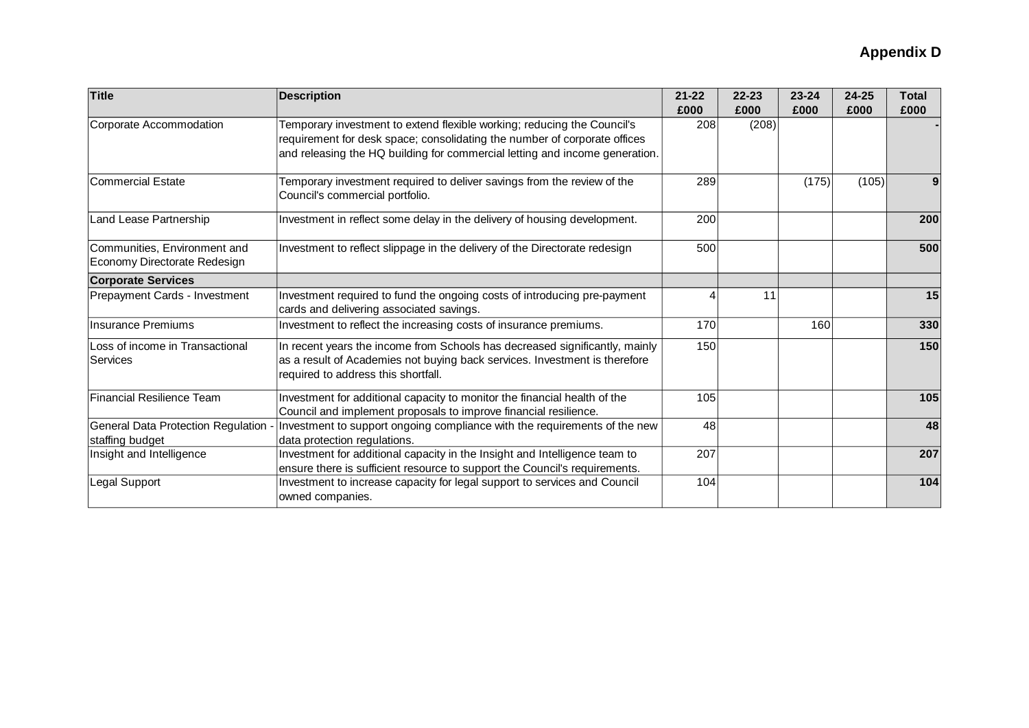| <b>Title</b>                                                 | <b>Description</b>                                                                                                                                                                                                                  | $21 - 22$<br>£000 | $22 - 23$<br>£000 | $23 - 24$<br>£000 | $24 - 25$<br>£000 | <b>Total</b><br>£000 |
|--------------------------------------------------------------|-------------------------------------------------------------------------------------------------------------------------------------------------------------------------------------------------------------------------------------|-------------------|-------------------|-------------------|-------------------|----------------------|
| Corporate Accommodation                                      | Temporary investment to extend flexible working; reducing the Council's<br>requirement for desk space; consolidating the number of corporate offices<br>and releasing the HQ building for commercial letting and income generation. | 208               | (208)             |                   |                   |                      |
| Commercial Estate                                            | Temporary investment required to deliver savings from the review of the<br>Council's commercial portfolio.                                                                                                                          | 289               |                   | (175)             | (105)             |                      |
| Land Lease Partnership                                       | Investment in reflect some delay in the delivery of housing development.                                                                                                                                                            | 200               |                   |                   |                   | 200                  |
| Communities, Environment and<br>Economy Directorate Redesign | Investment to reflect slippage in the delivery of the Directorate redesign                                                                                                                                                          | 500               |                   |                   |                   | 500                  |
| <b>Corporate Services</b>                                    |                                                                                                                                                                                                                                     |                   |                   |                   |                   |                      |
| Prepayment Cards - Investment                                | Investment required to fund the ongoing costs of introducing pre-payment<br>cards and delivering associated savings.                                                                                                                |                   | 11                |                   |                   | 15                   |
| Insurance Premiums                                           | Investment to reflect the increasing costs of insurance premiums.                                                                                                                                                                   | 170               |                   | 160               |                   | 330                  |
| Loss of income in Transactional<br>Services                  | In recent years the income from Schools has decreased significantly, mainly<br>as a result of Academies not buying back services. Investment is therefore<br>required to address this shortfall.                                    | 150               |                   |                   |                   | 150                  |
| <b>Financial Resilience Team</b>                             | Investment for additional capacity to monitor the financial health of the<br>Council and implement proposals to improve financial resilience.                                                                                       | 105               |                   |                   |                   | 105                  |
| General Data Protection Regulation -<br>staffing budget      | Investment to support ongoing compliance with the requirements of the new<br>data protection regulations.                                                                                                                           | 48                |                   |                   |                   | 48                   |
| Insight and Intelligence                                     | Investment for additional capacity in the Insight and Intelligence team to<br>ensure there is sufficient resource to support the Council's requirements.                                                                            | 207               |                   |                   |                   | 207                  |
| Legal Support                                                | Investment to increase capacity for legal support to services and Council<br>owned companies.                                                                                                                                       | 104               |                   |                   |                   | 104                  |